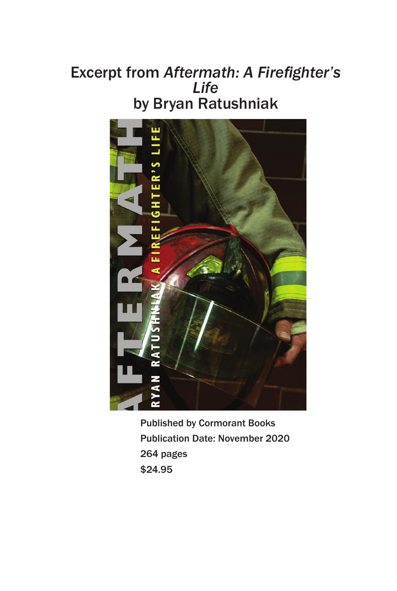## Excerpt from *Aftermath: A Firefighter's Life* by Bryan Ratushniak



Published by Cormorant Books Publication Date: November 2020 264 pages \$24.95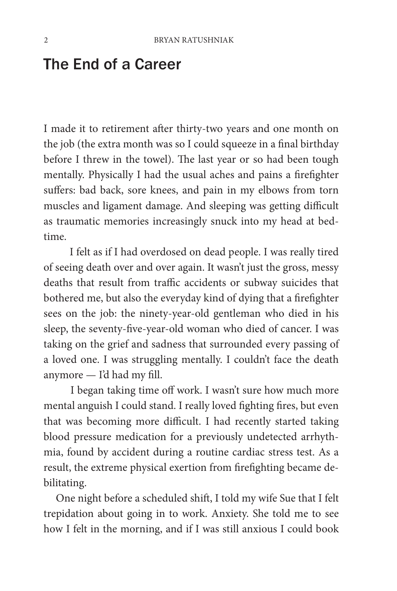## The End of a Career

I made it to retirement after thirty-two years and one month on the job (the extra month was so I could squeeze in a final birthday before I threw in the towel). The last year or so had been tough mentally. Physically I had the usual aches and pains a firefighter suffers: bad back, sore knees, and pain in my elbows from torn muscles and ligament damage. And sleeping was getting difficult as traumatic memories increasingly snuck into my head at bedtime.

 I felt as if I had overdosed on dead people. I was really tired of seeing death over and over again. It wasn't just the gross, messy deaths that result from traffic accidents or subway suicides that bothered me, but also the everyday kind of dying that a firefighter sees on the job: the ninety-year-old gentleman who died in his sleep, the seventy-five-year-old woman who died of cancer. I was taking on the grief and sadness that surrounded every passing of a loved one. I was struggling mentally. I couldn't face the death anymore — I'd had my fill.

 I began taking time off work. I wasn't sure how much more mental anguish I could stand. I really loved fighting fires, but even that was becoming more difficult. I had recently started taking blood pressure medication for a previously undetected arrhythmia, found by accident during a routine cardiac stress test. As a result, the extreme physical exertion from firefighting became debilitating.

One night before a scheduled shift, I told my wife Sue that I felt trepidation about going in to work. Anxiety. She told me to see how I felt in the morning, and if I was still anxious I could book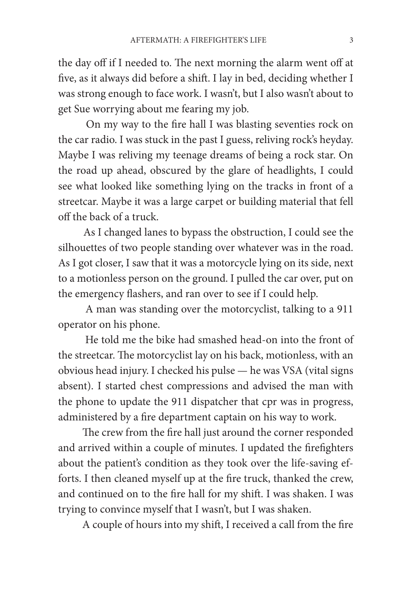the day off if I needed to. The next morning the alarm went off at five, as it always did before a shift. I lay in bed, deciding whether I was strong enough to face work. I wasn't, but I also wasn't about to get Sue worrying about me fearing my job.

 On my way to the fire hall I was blasting seventies rock on the car radio. I was stuck in the past I guess, reliving rock's heyday. Maybe I was reliving my teenage dreams of being a rock star. On the road up ahead, obscured by the glare of headlights, I could see what looked like something lying on the tracks in front of a streetcar. Maybe it was a large carpet or building material that fell off the back of a truck.

 As I changed lanes to bypass the obstruction, I could see the silhouettes of two people standing over whatever was in the road. As I got closer, I saw that it was a motorcycle lying on its side, next to a motionless person on the ground. I pulled the car over, put on the emergency flashers, and ran over to see if I could help.

 A man was standing over the motorcyclist, talking to a 911 operator on his phone.

 He told me the bike had smashed head-on into the front of the streetcar. The motorcyclist lay on his back, motionless, with an obvious head injury. I checked his pulse — he was VSA (vital signs absent). I started chest compressions and advised the man with the phone to update the 911 dispatcher that cpr was in progress, administered by a fire department captain on his way to work.

 The crew from the fire hall just around the corner responded and arrived within a couple of minutes. I updated the firefighters about the patient's condition as they took over the life-saving efforts. I then cleaned myself up at the fire truck, thanked the crew, and continued on to the fire hall for my shift. I was shaken. I was trying to convince myself that I wasn't, but I was shaken.

A couple of hours into my shift, I received a call from the fire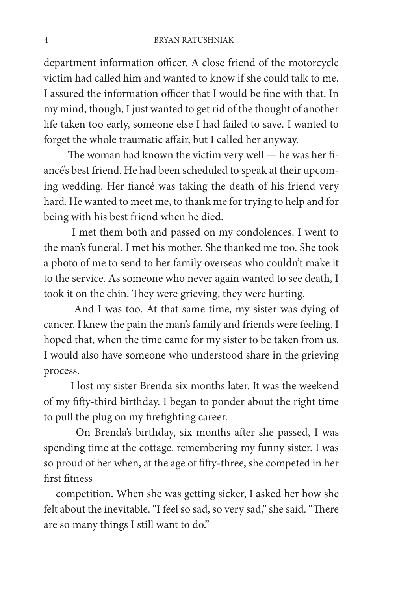department information officer. A close friend of the motorcycle victim had called him and wanted to know if she could talk to me. I assured the information officer that I would be fine with that. In my mind, though, I just wanted to get rid of the thought of another life taken too early, someone else I had failed to save. I wanted to forget the whole traumatic affair, but I called her anyway.

 The woman had known the victim very well — he was her fiancé's best friend. He had been scheduled to speak at their upcoming wedding. Her fiancé was taking the death of his friend very hard. He wanted to meet me, to thank me for trying to help and for being with his best friend when he died.

 I met them both and passed on my condolences. I went to the man's funeral. I met his mother. She thanked me too. She took a photo of me to send to her family overseas who couldn't make it to the service. As someone who never again wanted to see death, I took it on the chin. They were grieving, they were hurting.

 And I was too. At that same time, my sister was dying of cancer. I knew the pain the man's family and friends were feeling. I hoped that, when the time came for my sister to be taken from us, I would also have someone who understood share in the grieving process.

 I lost my sister Brenda six months later. It was the weekend of my fifty-third birthday. I began to ponder about the right time to pull the plug on my firefighting career.

 On Brenda's birthday, six months after she passed, I was spending time at the cottage, remembering my funny sister. I was so proud of her when, at the age of fifty-three, she competed in her first fitness

competition. When she was getting sicker, I asked her how she felt about the inevitable. "I feel so sad, so very sad," she said. "There are so many things I still want to do."